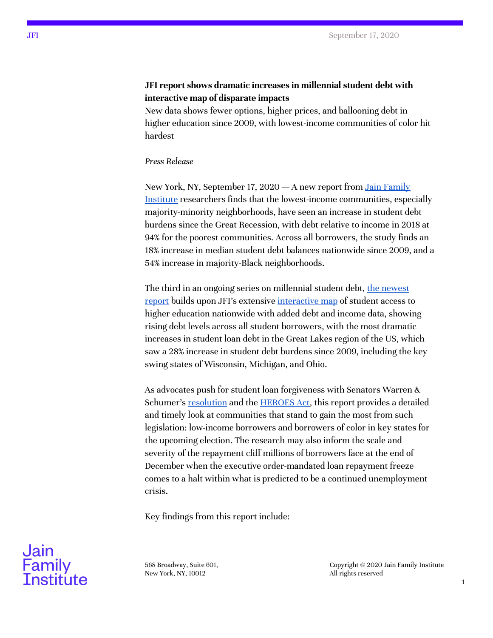## **JFI report shows dramatic increases in millennial student debt with interactive map of disparate impacts**

New data shows fewer options, higher prices, and ballooning debt in higher education since 2009, with lowest-income communities of color hit hardest

## *Press Release*

New York, NY, September 17, 2020 — A new report from Jain [Family](http://www.jainfamilyinstitute.org/) [Institute](http://www.jainfamilyinstitute.org/) researchers finds that the lowest-income communities, especially majority-minority neighborhoods, have seen an increase in student debt burdens since the Great Recession, with debt relative to income in 2018 at 94% for the poorest communities. Across all borrowers, the study finds an 18% increase in median student debt balances nationwide since 2009, and a 54% increase in majority-Black neighborhoods.

The third in an ongoing series on millennial student debt, <u>the [newest](https://phenomenalworld.org/analysis/millenial-student-debt)</u> [report](https://phenomenalworld.org/analysis/millenial-student-debt) builds upon JFI's extensive [interactive](https://hef.jfiresearch.org/post-2008-geography-of-higher-education/) map of student access to higher education nationwide with added debt and income data, showing rising debt levels across all student borrowers, with the most dramatic increases in student loan debt in the Great Lakes region of the US, which saw a 28% increase in student debt burdens since 2009, including the key swing states of Wisconsin, Michigan, and Ohio.

As advocates push for student loan forgiveness with Senators Warren & Schumer's <u>[resolution](https://money.yahoo.com/senate-democrats-student-debt-50000-151406953.html?guccounter=1&guce_referrer=aHR0cHM6Ly93d3cuZ29vZ2xlLmNvbS8&guce_referrer_sig=AQAAAFaPwwwSIXEd-TiGSZ5NlzJB8xaB8fsPVHJ6TNDI1_49rIXf3NziFUI8s-SBUssDadlZUUsRzPv_WagAMrWHnW0vwhTYjYtLM9vxuwB8PTw55lLF5xBmCA_pgrknWQdNPGtVrJycHp6dkAYrkzoP8pP4PiSiAUNLpxEvr4FfAFr_)</u> and the [HEROES](https://www.congress.gov/bill/116th-congress/house-bill/6800) Act, this report provides a detailed and timely look at communities that stand to gain the most from such legislation: low-income borrowers and borrowers of color in key states for the upcoming election. The research may also inform the scale and severity of the repayment cliff millions of borrowers face at the end of December when the executive order-mandated loan repayment freeze comes to a halt within what is predicted to be a continued unemployment crisis.

Key findings from this report include:



568 Broadway, Suite 601, New York, NY, 10012

Copyright © 2020 Jain Family Institute All rights reserved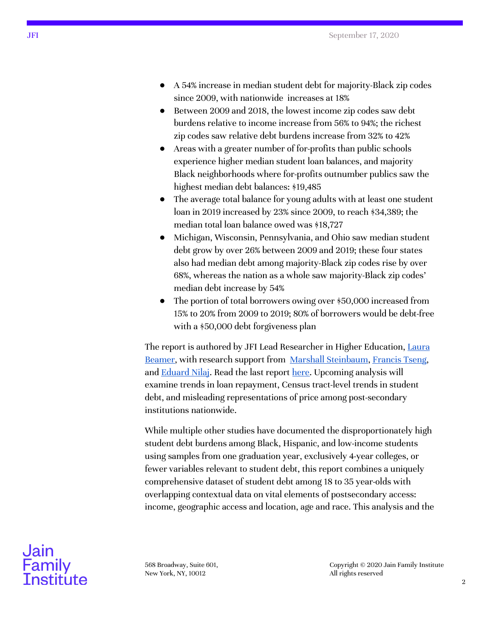- A 54% increase in median student debt for majority-Black zip codes since 2009, with nationwide increases at 18%
- Between 2009 and 2018, the lowest income zip codes saw debt burdens relative to income increase from 56% to 94%; the richest zip codes saw relative debt burdens increase from 32% to 42%
- Areas with a greater number of for-profits than public schools experience higher median student loan balances, and majority Black neighborhoods where for-profits outnumber publics saw the highest median debt balances: \$19,485
- The average total balance for young adults with at least one student loan in 2019 increased by 23% since 2009, to reach \$34,389; the median total loan balance owed was \$18,727
- Michigan, Wisconsin, Pennsylvania, and Ohio saw median student debt grow by over 26% between 2009 and 2019; these four states also had median debt among majority-Black zip codes rise by over 68%, whereas the nation as a whole saw majority-Black zip codes' median debt increase by 54%
- The portion of total borrowers owing over \$50,000 increased from 15% to 20% from 2009 to 2019; 80% of borrowers would be debt-free with a \$50,000 debt forgiveness plan

The report is authored by JFI Lead Researcher in Higher Education, [Laura](https://www.jainfamilyinstitute.org/about-us/people/laura-beamer/) [Beamer,](https://www.jainfamilyinstitute.org/about-us/people/laura-beamer/) with research support from Marshall [Steinbaum,](https://www.jainfamilyinstitute.org/about-us/people/marshall-steinbaum/) [Francis](https://www.jainfamilyinstitute.org/about-us/people/francis-tseng/) Tseng, and **[Eduard](https://www.jainfamilyinstitute.org/about-us/people/eduard-eddie-nilaj/) Nilaj**. Read the last report [here.](https://phenomenalworld.org/analysis/the-geography-and-cost-of-higher-education-post-2008) Upcoming analysis will examine trends in loan repayment, Census tract-level trends in student debt, and misleading representations of price among post-secondary institutions nationwide.

While multiple other studies have documented the disproportionately high student debt burdens among Black, Hispanic, and low-income students using samples from one graduation year, exclusively 4-year colleges, or fewer variables relevant to student debt, this report combines a uniquely comprehensive dataset of student debt among 18 to 35 year-olds with overlapping contextual data on vital elements of postsecondary access: income, geographic access and location, age and race. This analysis and the



568 Broadway, Suite 601, New York, NY, 10012

Copyright © 2020 Jain Family Institute All rights reserved